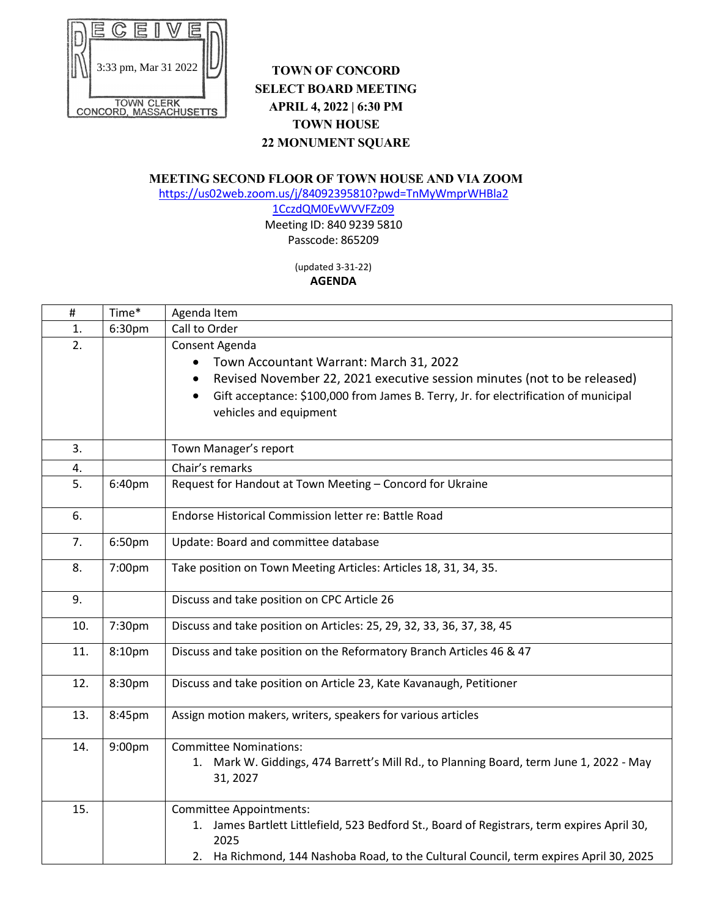

## **TOWN OF CONCORD SELECT BOARD MEETING APRIL 4, 2022 | 6:30 PM TOWN HOUSE 22 MONUMENT SQUARE**

## **MEETING SECOND FLOOR OF TOWN HOUSE AND VIA ZOOM**

[https://us02web.zoom.us/j/84092395810?pwd=TnMyWmprWHBla2](https://us02web.zoom.us/j/84092395810?pwd=TnMyWmprWHBla21CczdQM0EvWVVFZz09)

[1CczdQM0EvWVVFZz09](https://us02web.zoom.us/j/84092395810?pwd=TnMyWmprWHBla21CczdQM0EvWVVFZz09) Meeting ID: 840 9239 5810 Passcode: 865209

## (updated 3-31-22) **AGENDA**

| #   | Time*  | Agenda Item                                                                                                                                                                                                                                                                       |
|-----|--------|-----------------------------------------------------------------------------------------------------------------------------------------------------------------------------------------------------------------------------------------------------------------------------------|
| 1.  | 6:30pm | Call to Order                                                                                                                                                                                                                                                                     |
| 2.  |        | Consent Agenda<br>Town Accountant Warrant: March 31, 2022<br>$\bullet$<br>Revised November 22, 2021 executive session minutes (not to be released)<br>Gift acceptance: \$100,000 from James B. Terry, Jr. for electrification of municipal<br>$\bullet$<br>vehicles and equipment |
| 3.  |        | Town Manager's report                                                                                                                                                                                                                                                             |
| 4.  |        | Chair's remarks                                                                                                                                                                                                                                                                   |
| 5.  | 6:40pm | Request for Handout at Town Meeting - Concord for Ukraine                                                                                                                                                                                                                         |
| 6.  |        | Endorse Historical Commission letter re: Battle Road                                                                                                                                                                                                                              |
| 7.  | 6:50pm | Update: Board and committee database                                                                                                                                                                                                                                              |
| 8.  | 7:00pm | Take position on Town Meeting Articles: Articles 18, 31, 34, 35.                                                                                                                                                                                                                  |
| 9.  |        | Discuss and take position on CPC Article 26                                                                                                                                                                                                                                       |
| 10. | 7:30pm | Discuss and take position on Articles: 25, 29, 32, 33, 36, 37, 38, 45                                                                                                                                                                                                             |
| 11. | 8:10pm | Discuss and take position on the Reformatory Branch Articles 46 & 47                                                                                                                                                                                                              |
| 12. | 8:30pm | Discuss and take position on Article 23, Kate Kavanaugh, Petitioner                                                                                                                                                                                                               |
| 13. | 8:45pm | Assign motion makers, writers, speakers for various articles                                                                                                                                                                                                                      |
| 14. | 9:00pm | <b>Committee Nominations:</b><br>Mark W. Giddings, 474 Barrett's Mill Rd., to Planning Board, term June 1, 2022 - May<br>1.<br>31, 2027                                                                                                                                           |
| 15. |        | <b>Committee Appointments:</b><br>1. James Bartlett Littlefield, 523 Bedford St., Board of Registrars, term expires April 30,<br>2025<br>2. Ha Richmond, 144 Nashoba Road, to the Cultural Council, term expires April 30, 2025                                                   |